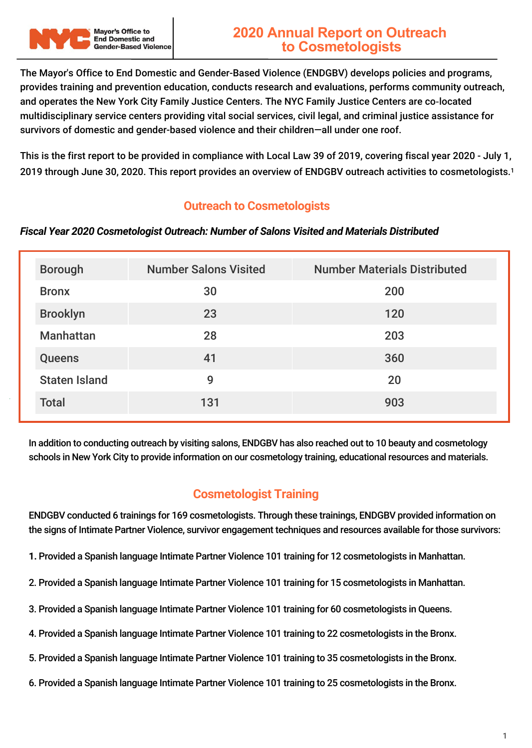

The Mayor's Office to End Domestic and Gender-Based Violence (ENDGBV) develops policies and programs, provides training and prevention education, conducts research and evaluations, performs community outreach, and operates the New York City Family Justice Centers. The NYC Family Justice Centers are co‐located multidisciplinary service centers providing vital social services, civil legal, and criminal justice assistance for survivors of domestic and gender-based violence and their children—all under one roof.

This is the first report to be provided in compliance with Local Law 39 of 2019, covering fiscal year 2020 - July 1, 2019 through June 30, 2020. This report provides an overview of ENDGBV outreach activities to cosmetologists.<sup>1</sup>

## **Outreach to Cosmetologists**

## *Fiscal Year 2020 Cosmetologist Outreach: Number of Salons Visited and Materials Distributed*

| <b>Borough</b>       | <b>Number Salons Visited</b> | <b>Number Materials Distributed</b> |
|----------------------|------------------------------|-------------------------------------|
| <b>Bronx</b>         | 30                           | 200                                 |
| <b>Brooklyn</b>      | 23                           | 120                                 |
| <b>Manhattan</b>     | 28                           | 203                                 |
| <b>Queens</b>        | 41                           | 360                                 |
| <b>Staten Island</b> | 9                            | 20                                  |
| <b>Total</b>         | 131                          | 903                                 |

In addition to conducting outreach by visiting salons, ENDGBV has also reached out to 10 beauty and cosmetology schools in New York City to provide information on our cosmetology training, educational resources and materials.

## **Cosmetologist Training**

ENDGBV conducted 6 trainings for 169 cosmetologists. Through these trainings, ENDGBV provided information on the signs of Intimate Partner Violence, survivor engagement techniques and resources available for those survivors:

- **1.** Provided a Spanish language Intimate Partner Violence 101 training for 12 cosmetologists in Manhattan.
- 2. Provided a Spanish language Intimate Partner Violence 101 training for 15 cosmetologists in Manhattan.
- 3. Provided a Spanish language Intimate Partner Violence 101 training for 60 cosmetologists in Queens.
- 4. Provided a Spanish language Intimate Partner Violence 101 training to 22 cosmetologists in the Bronx.
- 5. Provided a Spanish language Intimate Partner Violence 101 training to 35 cosmetologists in the Bronx.
- 6. Provided a Spanish language Intimate Partner Violence 101 training to 25 cosmetologists in the Bronx.